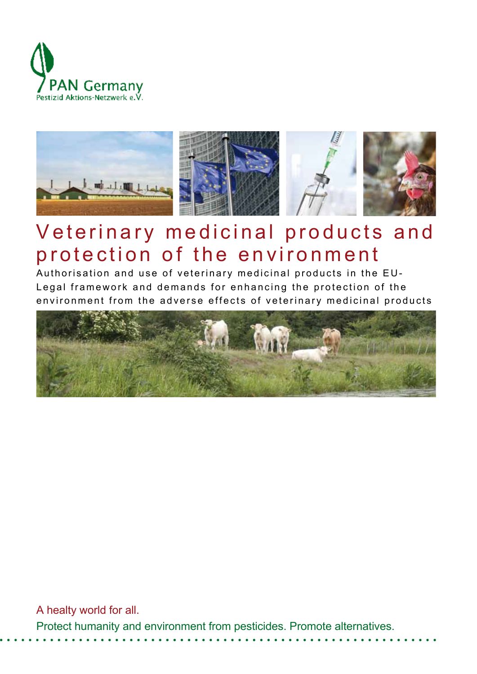



# Veterinary medicinal products and protection of the environment

Authorisation and use of veterinary medicinal products in the EU-Legal framework and demands for enhancing the protection of the environment from the adverse effects of veterinary medicinal products



A healty world for all. Protect humanity and environment from pesticides. Promote alternatives.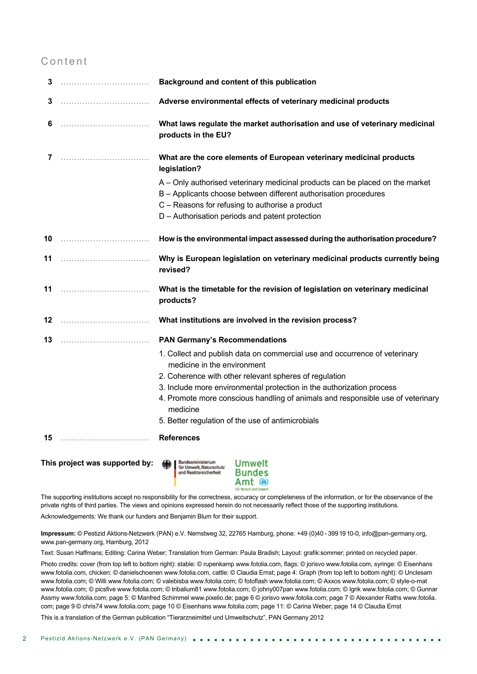### Content

| 3                                                                                        |  | Background and content of this publication                                                                                                                                                                                                              |
|------------------------------------------------------------------------------------------|--|---------------------------------------------------------------------------------------------------------------------------------------------------------------------------------------------------------------------------------------------------------|
| 3                                                                                        |  | Adverse environmental effects of veterinary medicinal products                                                                                                                                                                                          |
| 6                                                                                        |  | What laws regulate the market authorisation and use of veterinary medicinal<br>products in the EU?                                                                                                                                                      |
| 7                                                                                        |  | What are the core elements of European veterinary medicinal products<br>legislation?                                                                                                                                                                    |
|                                                                                          |  | A – Only authorised veterinary medicinal products can be placed on the market<br>B - Applicants choose between different authorisation procedures<br>C - Reasons for refusing to authorise a product<br>D - Authorisation periods and patent protection |
|                                                                                          |  | How is the environmental impact assessed during the authorisation procedure?                                                                                                                                                                            |
| 11                                                                                       |  | Why is European legislation on veterinary medicinal products currently being<br>revised?                                                                                                                                                                |
| 11                                                                                       |  | What is the timetable for the revision of legislation on veterinary medicinal<br>products?                                                                                                                                                              |
| 12                                                                                       |  | What institutions are involved in the revision process?                                                                                                                                                                                                 |
| 13                                                                                       |  | <b>PAN Germany's Recommendations</b>                                                                                                                                                                                                                    |
|                                                                                          |  | 1. Collect and publish data on commercial use and occurrence of veterinary<br>medicine in the environment                                                                                                                                               |
|                                                                                          |  | 2. Coherence with other relevant spheres of regulation                                                                                                                                                                                                  |
|                                                                                          |  | 3. Include more environmental protection in the authorization process                                                                                                                                                                                   |
|                                                                                          |  | 4. Promote more conscious handling of animals and responsible use of veterinary<br>medicine                                                                                                                                                             |
|                                                                                          |  | 5. Better regulation of the use of antimicrobials                                                                                                                                                                                                       |
| 15                                                                                       |  | <b>References</b>                                                                                                                                                                                                                                       |
| This project was supported by:<br>Bundesministerium<br>für Umwelt, Naturschutz<br>Umwelt |  |                                                                                                                                                                                                                                                         |

und Reaktorsicherheit **Bundes** Amt <sup>®</sup>

The supporting institutions accept no responsibility for the correctness, accuracy or completeness of the information, or for the observance of the private rights of third parties. The views and opinions expressed herein do not necessarily reflect those of the supporting institutions. Acknowledgements: We thank our funders and Benjamin Blum for their support.

**Impressum:** © Pestizid Aktions-Netzwerk (PAN) e.V. Nernstweg 32, 22765 Hamburg, phone: +49 (0)40 - 3991910-0, info@pan-germany.org, www.pan-germany.org, Hamburg, 2012

Text: Susan Haffmans; Editing: Carina Weber; Translation from German: Paula Bradish; Layout: grafik:sommer; printed on recycled paper.

Photo credits: cover (from top left to bottom right): stable: © rupenkamp www.fotolia.com, flags: © jorisvo www.fotolia.com, syringe: © Eisenhans www.fotolia.com, chicken: © danielschoenen www.fotolia.com, cattle: © Claudia Ernst; page 4: Graph (from top left to bottom right): © Unclesam www.fotolia.com; © Willi www.fotolia.com; © valebisba www.fotolia.com; © fotoflash www.fotolia.com; © Axxos www.fotolia.com; © style-o-mat www.fotolia.com; © picsfive www.fotolia.com; © tribalium81 www.fotolia.com; © johny007pan www.fotolia.com; © Igrik www.fotolia.com; © Gunnar Assmy www.fotolia.com; page 5: © Manfred Schimmel www.pixelio.de; page 6 © jorisvo www.fotolia.com; page 7 © Alexander Raths www.fotolia. com; page 9 © chris74 www.fotolia.com; page 10 © Eisenhans www.fotolia.com; page 11: © Carina Weber; page 14 © Claudia Ernst

This is a translation of the German publication "Tierarzneimittel und Umweltschutz", PAN Germany 2012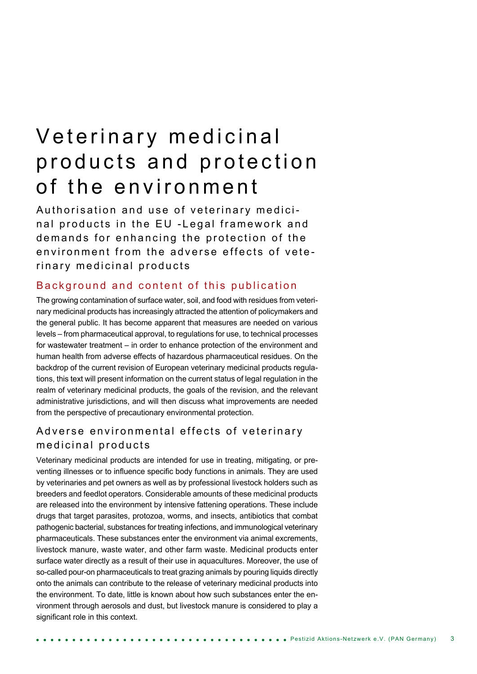# Veterinary medicinal products and protection of the environment

Authorisation and use of veterinary medicinal products in the EU - Legal framework and demands for enhancing the protection of the environment from the adverse effects of veterinary medicinal products

#### Background and content of this publication

The growing contamination of surface water, soil, and food with residues from veterinary medicinal products has increasingly attracted the attention of policymakers and the general public. It has become apparent that measures are needed on various levels – from pharmaceutical approval, to regulations for use, to technical processes for wastewater treatment – in order to enhance protection of the environment and human health from adverse effects of hazardous pharmaceutical residues. On the backdrop of the current revision of European veterinary medicinal products regulations, this text will present information on the current status of legal regulation in the realm of veterinary medicinal products, the goals of the revision, and the relevant administrative jurisdictions, and will then discuss what improvements are needed from the perspective of precautionary environmental protection.

### Adverse environmental effects of veterinary medicinal products

Veterinary medicinal products are intended for use in treating, mitigating, or preventing illnesses or to influence specific body functions in animals. They are used by veterinaries and pet owners as well as by professional livestock holders such as breeders and feedlot operators. Considerable amounts of these medicinal products are released into the environment by intensive fattening operations. These include drugs that target parasites, protozoa, worms, and insects, antibiotics that combat pathogenic bacterial, substances for treating infections, and immunological veterinary pharmaceuticals. These substances enter the environment via animal excrements, livestock manure, waste water, and other farm waste. Medicinal products enter surface water directly as a result of their use in aquacultures. Moreover, the use of so-called pour-on pharmaceuticals to treat grazing animals by pouring liquids directly onto the animals can contribute to the release of veterinary medicinal products into the environment. To date, little is known about how such substances enter the environment through aerosols and dust, but livestock manure is considered to play a significant role in this context.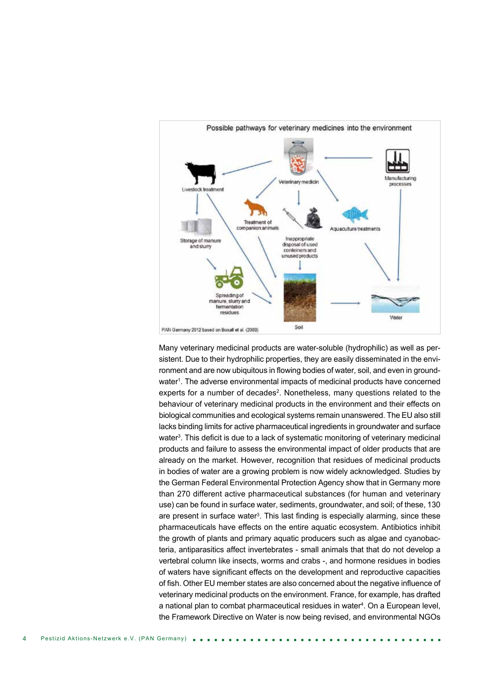

Many veterinary medicinal products are water-soluble (hydrophilic) as well as persistent. Due to their hydrophilic properties, they are easily disseminated in the environment and are now ubiquitous in flowing bodies of water, soil, and even in groundwater<sup>1</sup>. The adverse environmental impacts of medicinal products have concerned experts for a number of decades2. Nonetheless, many questions related to the behaviour of veterinary medicinal products in the environment and their effects on biological communities and ecological systems remain unanswered. The EU also still lacks binding limits for active pharmaceutical ingredients in groundwater and surface water<sup>3</sup>. This deficit is due to a lack of systematic monitoring of veterinary medicinal products and failure to assess the environmental impact of older products that are already on the market. However, recognition that residues of medicinal products in bodies of water are a growing problem is now widely acknowledged. Studies by the German Federal Environmental Protection Agency show that in Germany more than 270 different active pharmaceutical substances (for human and veterinary use) can be found in surface water, sediments, groundwater, and soil; of these, 130 are present in surface water<sup>3</sup>. This last finding is especially alarming, since these pharmaceuticals have effects on the entire aquatic ecosystem. Antibiotics inhibit the growth of plants and primary aquatic producers such as algae and cyanobacteria, antiparasitics affect invertebrates - small animals that that do not develop a vertebral column like insects, worms and crabs -, and hormone residues in bodies of waters have significant effects on the development and reproductive capacities of fish. Other EU member states are also concerned about the negative influence of veterinary medicinal products on the environment. France, for example, has drafted a national plan to combat pharmaceutical residues in water4. On a European level, the Framework Directive on Water is now being revised, and environmental NGOs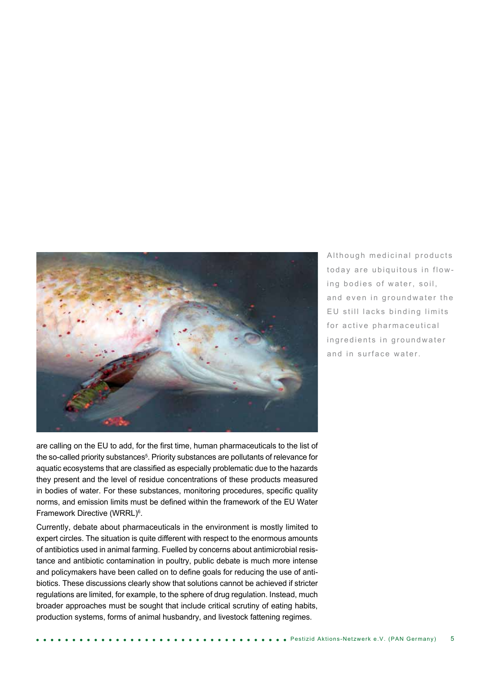

Although medicinal products today are ubiquitous in flowing bodies of water, soil, and even in groundwater the EU still lacks binding limits for active pharmaceutical in g r e dients in ground water and in surface water.

are calling on the EU to add, for the first time, human pharmaceuticals to the list of the so-called priority substances<sup>5</sup>. Priority substances are pollutants of relevance for aquatic ecosystems that are classified as especially problematic due to the hazards they present and the level of residue concentrations of these products measured in bodies of water. For these substances, monitoring procedures, specific quality norms, and emission limits must be defined within the framework of the EU Water Framework Directive (WRRL)<sup>6</sup>.

Currently, debate about pharmaceuticals in the environment is mostly limited to expert circles. The situation is quite different with respect to the enormous amounts of antibiotics used in animal farming. Fuelled by concerns about antimicrobial resistance and antibiotic contamination in poultry, public debate is much more intense and policymakers have been called on to define goals for reducing the use of antibiotics. These discussions clearly show that solutions cannot be achieved if stricter regulations are limited, for example, to the sphere of drug regulation. Instead, much broader approaches must be sought that include critical scrutiny of eating habits, production systems, forms of animal husbandry, and livestock fattening regimes.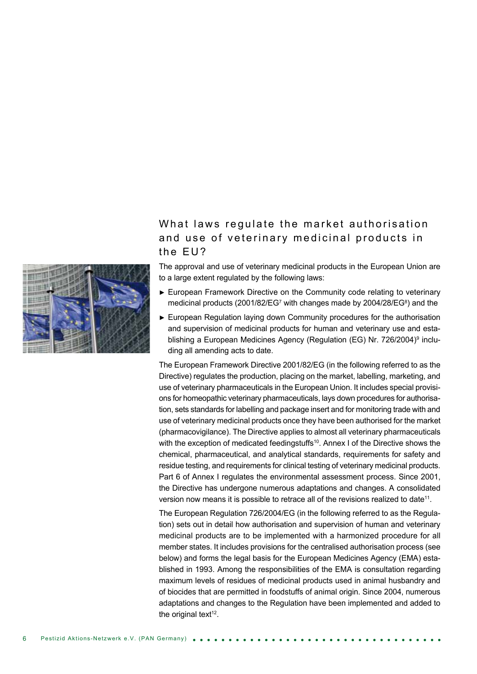### What laws regulate the market authorisation and use of veterinary medicinal products in the FU?



The approval and use of veterinary medicinal products in the European Union are to a large extent regulated by the following laws:

- ► European Framework Directive on the Community code relating to veterinary medicinal products (2001/82/EG<sup>7</sup> with changes made by 2004/28/EG<sup>8</sup>) and the
- ► European Regulation laying down Community procedures for the authorisation and supervision of medicinal products for human and veterinary use and establishing a European Medicines Agency (Regulation (EG) Nr. 726/2004)<sup>9</sup> including all amending acts to date.

The European Framework Directive 2001/82/EG (in the following referred to as the Directive) regulates the production, placing on the market, labelling, marketing, and use of veterinary pharmaceuticals in the European Union. It includes special provisions for homeopathic veterinary pharmaceuticals, lays down procedures for authorisation, sets standards for labelling and package insert and for monitoring trade with and use of veterinary medicinal products once they have been authorised for the market (pharmacovigilance). The Directive applies to almost all veterinary pharmaceuticals with the exception of medicated feedingstuffs<sup>10</sup>. Annex I of the Directive shows the chemical, pharmaceutical, and analytical standards, requirements for safety and residue testing, and requirements for clinical testing of veterinary medicinal products. Part 6 of Annex I regulates the environmental assessment process. Since 2001, the Directive has undergone numerous adaptations and changes. A consolidated version now means it is possible to retrace all of the revisions realized to date<sup>11</sup>.

The European Regulation 726/2004/EG (in the following referred to as the Regulation) sets out in detail how authorisation and supervision of human and veterinary medicinal products are to be implemented with a harmonized procedure for all member states. It includes provisions for the centralised authorisation process (see below) and forms the legal basis for the European Medicines Agency (EMA) established in 1993. Among the responsibilities of the EMA is consultation regarding maximum levels of residues of medicinal products used in animal husbandry and of biocides that are permitted in foodstuffs of animal origin. Since 2004, numerous adaptations and changes to the Regulation have been implemented and added to the original text $12$ .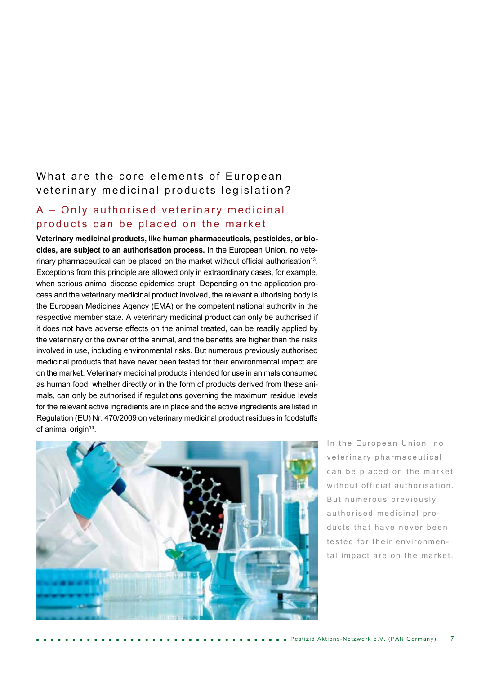### What are the core elements of European veterinary medicinal products legislation?

### A – Only authorised veterinary medicinal products can be placed on the market

**Veterinary medicinal products, like human pharmaceuticals, pesticides, or biocides, are subject to an authorisation process.** In the European Union, no veterinary pharmaceutical can be placed on the market without official authorisation<sup>13</sup>. Exceptions from this principle are allowed only in extraordinary cases, for example, when serious animal disease epidemics erupt. Depending on the application process and the veterinary medicinal product involved, the relevant authorising body is the European Medicines Agency (EMA) or the competent national authority in the respective member state. A veterinary medicinal product can only be authorised if it does not have adverse effects on the animal treated, can be readily applied by the veterinary or the owner of the animal, and the benefits are higher than the risks involved in use, including environmental risks. But numerous previously authorised medicinal products that have never been tested for their environmental impact are on the market. Veterinary medicinal products intended for use in animals consumed as human food, whether directly or in the form of products derived from these animals, can only be authorised if regulations governing the maximum residue levels for the relevant active ingredients are in place and the active ingredients are listed in Regulation (EU) Nr. 470/2009 on veterinary medicinal product residues in foodstuffs of animal origin<sup>14</sup>.



In the European Union, no veterinary pharmaceutical can be placed on the market without official authorisation. But numerous previously authorised medicinal products that have never been tested for their environmental impact are on the market.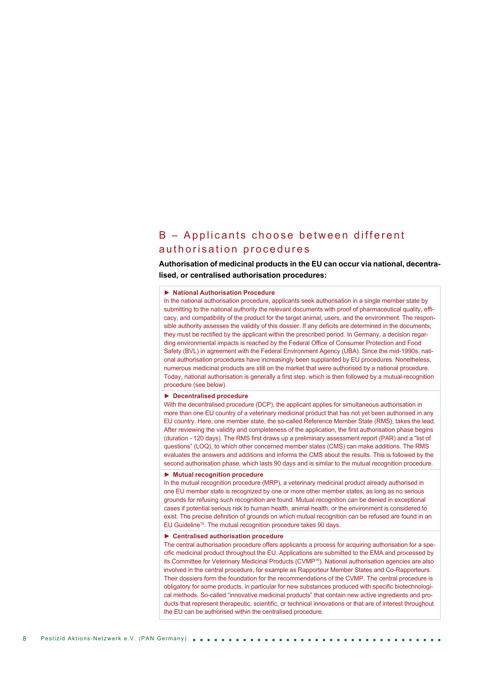#### $B -$  Applicants choose between different authorisation procedures

**Authorisation of medicinal products in the EU can occur via national, decentralised, or centralised authorisation procedures:**

#### ► **National Authorisation Procedure**

In the national authorisation procedure, applicants seek authorisation in a single member state by submitting to the national authority the relevant documents with proof of pharmaceutical quality, efficacy, and compatibility of the product for the target animal, users, and the environment. The responsible authority assesses the validity of this dossier. If any deficits are determined in the documents, they must be rectified by the applicant within the prescribed period. In Germany, a decision regarding environmental impacts is reached by the Federal Office of Consumer Protection and Food Safety (BVL) in agreement with the Federal Environment Agency (UBA). Since the mid-1990s, national authorisation procedures have increasingly been supplanted by EU procedures. Nonetheless, numerous medicinal products are still on the market that were authorised by a national procedure. Today, national authorisation is generally a first step, which is then followed by a mutual-recognition procedure (see below).

#### ► **Decentralised procedure**

With the decentralised procedure (DCP), the applicant applies for simultaneous authorisation in more than one EU country of a veterinary medicinal product that has not yet been authorised in any EU country. Here, one member state, the so-called Reference Member State (RMS), takes the lead. After reviewing the validity and completeness of the application, the first authorisation phase begins (duration - 120 days). The RMS first draws up a preliminary assessment report (PAR) and a "list of questions" (LOQ), to which other concerned member states (CMS) can make additions. The RMS evaluates the answers and additions and informs the CMS about the results. This is followed by the second authorisation phase, which lasts 90 days and is similar to the mutual recognition procedure.

#### ► **Mutual recognition procedure**

In the mutual recognition procedure (MRP), a veterinary medicinal product already authorised in one EU member state is recognized by one or more other member states, as long as no serious grounds for refusing such recognition are found. Mutual recognition can be denied in exceptional cases if potential serious risk to human health, animal health, or the environment is considered to exist. The precise definition of grounds on which mutual recognition can be refused are found in an EU Guideline15. The mutual recognition procedure takes 90 days.

#### ► **Centralised authorisation procedure**

The central authorisation procedure offers applicants a process for acquiring authorisation for a specific medicinal product throughout the EU. Applications are submitted to the EMA and processed by its Committee for Veterinary Medicinal Products (CVMP<sup>16</sup>). National authorisation agencies are also involved in the central procedure, for example as Rapporteur Member States and Co-Rapporteurs. Their dossiers form the foundation for the recommendations of the CVMP. The central procedure is obligatory for some products, in particular for new substances produced with specific biotechnological methods. So-called "innovative medicinal products" that contain new active ingredients and products that represent therapeutic, scientific, or technical innovations or that are of interest throughout the EU can be authorised within the centralised procedure.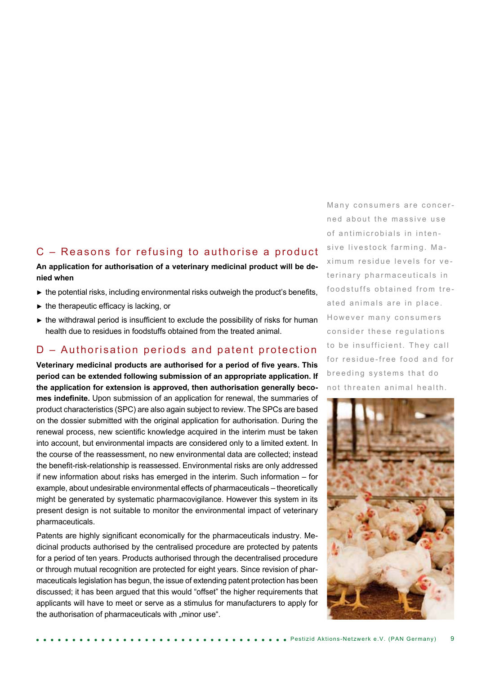#### C – Reasons for refusing to authorise a product

#### **An application for authorisation of a veterinary medicinal product will be denied when**

- $\blacktriangleright$  the potential risks, including environmental risks outweigh the product's benefits,
- ► the therapeutic efficacy is lacking, or
- $\blacktriangleright$  the withdrawal period is insufficient to exclude the possibility of risks for human health due to residues in foodstuffs obtained from the treated animal.

### D – Authorisation periods and patent protection

**Veterinary medicinal products are authorised for a period of five years. This period can be extended following submission of an appropriate application. If the application for extension is approved, then authorisation generally becomes indefinite.** Upon submission of an application for renewal, the summaries of product characteristics (SPC) are also again subject to review. The SPCs are based on the dossier submitted with the original application for authorisation. During the renewal process, new scientific knowledge acquired in the interim must be taken into account, but environmental impacts are considered only to a limited extent. In the course of the reassessment, no new environmental data are collected; instead the benefit-risk-relationship is reassessed. Environmental risks are only addressed if new information about risks has emerged in the interim. Such information – for example, about undesirable environmental effects of pharmaceuticals – theoretically might be generated by systematic pharmacovigilance. However this system in its present design is not suitable to monitor the environmental impact of veterinary pharmaceuticals.

Patents are highly significant economically for the pharmaceuticals industry. Medicinal products authorised by the centralised procedure are protected by patents for a period of ten years. Products authorised through the decentralised procedure or through mutual recognition are protected for eight years. Since revision of pharmaceuticals legislation has begun, the issue of extending patent protection has been discussed; it has been argued that this would "offset" the higher requirements that applicants will have to meet or serve as a stimulus for manufacturers to apply for the authorisation of pharmaceuticals with "minor use".

Many consumers are concerned about the massive use of antimicrobials in intensive livestock farming. Maximum residue levels for veterinary pharmaceuticals in food stuffs obtained from treated animals are in place. However many consumers consider these requlations to be insufficient. They call for residue-free food and for breeding systems that do not threaten animal health.

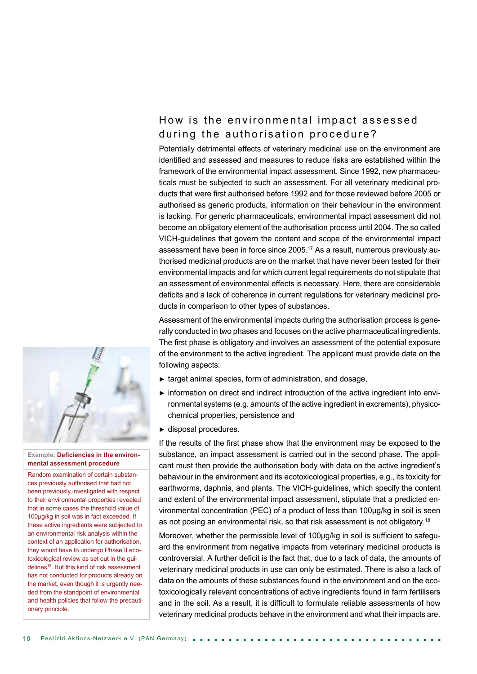## How is the environmental impact assessed during the authorisation procedure?

Potentially detrimental effects of veterinary medicinal use on the environment are identified and assessed and measures to reduce risks are established within the framework of the environmental impact assessment. Since 1992, new pharmaceuticals must be subjected to such an assessment. For all veterinary medicinal products that were first authorised before 1992 and for those reviewed before 2005 or authorised as generic products, information on their behaviour in the environment is lacking. For generic pharmaceuticals, environmental impact assessment did not become an obligatory element of the authorisation process until 2004. The so called VICH-guidelines that govern the content and scope of the environmental impact assessment have been in force since 2005.17 As a result, numerous previously authorised medicinal products are on the market that have never been tested for their environmental impacts and for which current legal requirements do not stipulate that an assessment of environmental effects is necessary. Here, there are considerable deficits and a lack of coherence in current regulations for veterinary medicinal products in comparison to other types of substances.

Assessment of the environmental impacts during the authorisation process is generally conducted in two phases and focuses on the active pharmaceutical ingredients. The first phase is obligatory and involves an assessment of the potential exposure of the environment to the active ingredient. The applicant must provide data on the following aspects:

- ► target animal species, form of administration, and dosage,
- ► information on direct and indirect introduction of the active ingredient into environmental systems (e.g. amounts of the active ingredient in excrements), physicochemical properties, persistence and
- ► disposal procedures.

If the results of the first phase show that the environment may be exposed to the substance, an impact assessment is carried out in the second phase. The applicant must then provide the authorisation body with data on the active ingredient's behaviour in the environment and its ecotoxicological properties, e.g., its toxicity for earthworms, daphnia, and plants. The VICH-guidelines, which specify the content and extent of the environmental impact assessment, stipulate that a predicted environmental concentration (PEC) of a product of less than 100µg/kg in soil is seen as not posing an environmental risk, so that risk assessment is not obligatory.<sup>18</sup>

Moreover, whether the permissible level of 100µg/kg in soil is sufficient to safeguard the environment from negative impacts from veterinary medicinal products is controversial. A further deficit is the fact that, due to a lack of data, the amounts of veterinary medicinal products in use can only be estimated. There is also a lack of data on the amounts of these substances found in the environment and on the ecotoxicologically relevant concentrations of active ingredients found in farm fertilisers and in the soil. As a result, it is difficult to formulate reliable assessments of how veterinary medicinal products behave in the environment and what their impacts are.



#### **Example: Deficiencies in the environmental assessment procedure**

Random examination of certain substances previously authorised that had not been previously investigated with respect to their environmental properties revealed that in some cases the threshold value of 100µg/kg in soil was in fact exceeded. If these active ingredients were subjected to an environmental risk analysis within the context of an application for authorisation, they would have to undergo Phase II ecotoxicological review as set out in the guidelines<sup>19</sup>. But this kind of risk assessment has not conducted for products already on the market, even though it is urgently needed from the standpoint of environmental and health policies that follow the precautionary principle.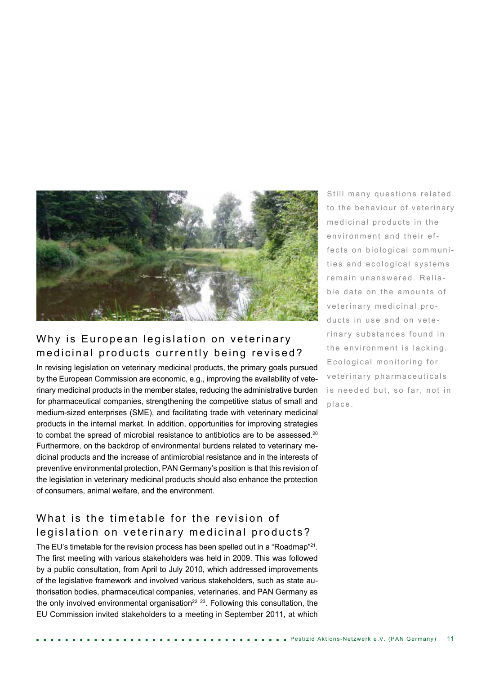

## Why is European legislation on veterinary medicinal products currently being revised?

In revising legislation on veterinary medicinal products, the primary goals pursued by the European Commission are economic, e.g., improving the availability of veterinary medicinal products in the member states, reducing the administrative burden for pharmaceutical companies, strengthening the competitive status of small and medium-sized enterprises (SME), and facilitating trade with veterinary medicinal products in the internal market. In addition, opportunities for improving strategies to combat the spread of microbial resistance to antibiotics are to be assessed.<sup>20</sup> Furthermore, on the backdrop of environmental burdens related to veterinary medicinal products and the increase of antimicrobial resistance and in the interests of preventive environmental protection, PAN Germany's position is that this revision of the legislation in veterinary medicinal products should also enhance the protection of consumers, animal welfare, and the environment.

# What is the timetable for the revision of legislation on veterinary medicinal products?

The EU's timetable for the revision process has been spelled out in a "Roadmap"<sup>21</sup>. The first meeting with various stakeholders was held in 2009. This was followed by a public consultation, from April to July 2010, which addressed improvements of the legislative framework and involved various stakeholders, such as state authorisation bodies, pharmaceutical companies, veterinaries, and PAN Germany as the only involved environmental organisation $^{22, 23}$ . Following this consultation, the EU Commission invited stakeholders to a meeting in September 2011, at which

Still many questions related to the behaviour of veterinary medicinal products in the environment and their effects on biological communities and ecological systems remain unanswered. Reliable data on the amounts of veterinary medicinal products in use and on veterinary substances found in the environment is lacking. Ecological monitoring for veterinary pharmaceuticals is needed but, so far, not in place.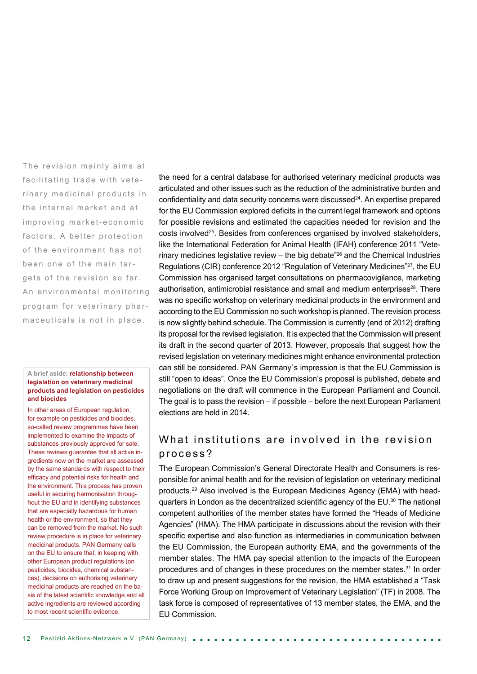The revision mainly aims at facilitating trade with veterinary medicinal products in the internal market and at improving market-economic factors. A better protection of the environment has not been one of the main targets of the revision so far. An environmental monitoring program for veterinary pharmaceuticals is not in place.

#### **A brief aside: relationship between legislation on veterinary medicinal products and legislation on pesticides and biocides**

In other areas of European regulation, for example on pesticides and biocides, so-called review programmes have been implemented to examine the impacts of substances previously approved for sale. These reviews guarantee that all active ingredients now on the market are assessed by the same standards with respect to their efficacy and potential risks for health and the environment. This process has proven useful in securing harmonisation throughout the EU and in identifying substances that are especially hazardous for human health or the environment, so that they can be removed from the market. No such review procedure is in place for veterinary medicinal products. PAN Germany calls on the EU to ensure that, in keeping with other European product regulations (on pesticides, biocides, chemical substances), decisions on authorising veterinary medicinal products are reached on the basis of the latest scientific knowledge and all active ingredients are reviewed according to most recent scientific evidence.

the need for a central database for authorised veterinary medicinal products was articulated and other issues such as the reduction of the administrative burden and confidentiality and data security concerns were discussed $^{24}$ . An expertise prepared for the EU Commission explored deficits in the current legal framework and options for possible revisions and estimated the capacities needed for revision and the costs involved<sup>25</sup>. Besides from conferences organised by involved stakeholders, like the International Federation for Animal Health (IFAH) conference 2011 "Veterinary medicines legislative review  $-$  the big debate<sup> $26$ </sup> and the Chemical Industries Regulations (CIR) conference 2012 "Regulation of Veterinary Medicines"<sup>27</sup>, the EU Commission has organised target consultations on pharmacovigilance, marketing authorisation, antimicrobial resistance and small and medium enterprises $28$ . There was no specific workshop on veterinary medicinal products in the environment and according to the EU Commission no such workshop is planned. The revision process is now slightly behind schedule. The Commission is currently (end of 2012) drafting its proposal for the revised legislation. It is expected that the Commission will present its draft in the second quarter of 2013. However, proposals that suggest how the revised legislation on veterinary medicines might enhance environmental protection can still be considered. PAN Germany`s impression is that the EU Commission is still "open to ideas". Once the EU Commission's proposal is published, debate and negotiations on the draft will commence in the European Parliament and Council. The goal is to pass the revision – if possible – before the next European Parliament elections are held in 2014.

### What institutions are involved in the revision process?

The European Commission's General Directorate Health and Consumers is responsible for animal health and for the revision of legislation on veterinary medicinal products.29 Also involved is the European Medicines Agency (EMA) with headquarters in London as the decentralized scientific agency of the EU.<sup>30</sup> The national competent authorities of the member states have formed the "Heads of Medicine Agencies" (HMA). The HMA participate in discussions about the revision with their specific expertise and also function as intermediaries in communication between the EU Commission, the European authority EMA, and the governments of the member states. The HMA pay special attention to the impacts of the European procedures and of changes in these procedures on the member states.<sup>31</sup> In order to draw up and present suggestions for the revision, the HMA established a "Task Force Working Group on Improvement of Veterinary Legislation" (TF) in 2008. The task force is composed of representatives of 13 member states, the EMA, and the EU Commission.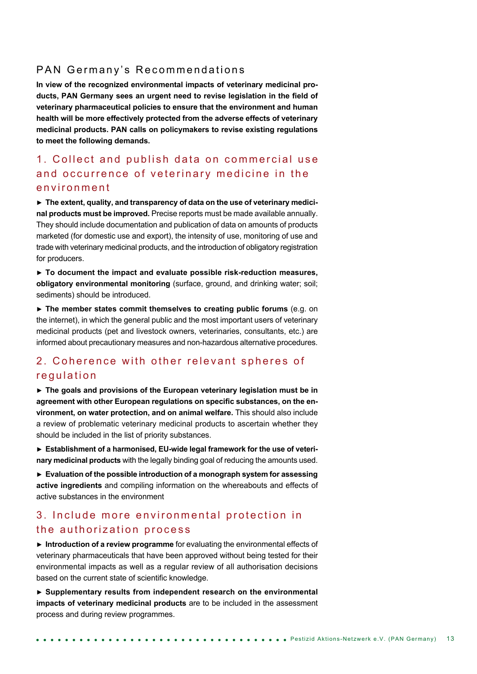#### PAN Germany's Recommendations

**In view of the recognized environmental impacts of veterinary medicinal products, PAN Germany sees an urgent need to revise legislation in the field of veterinary pharmaceutical policies to ensure that the environment and human health will be more effectively protected from the adverse effects of veterinary medicinal products. PAN calls on policymakers to revise existing regulations to meet the following demands.**

### 1. Collect and publish data on commercial use and occurrence of veterinary medicine in the e n v i r o n m e n t

► **The extent, quality, and transparency of data on the use of veterinary medicinal products must be improved.** Precise reports must be made available annually. They should include documentation and publication of data on amounts of products marketed (for domestic use and export), the intensity of use, monitoring of use and trade with veterinary medicinal products, and the introduction of obligatory registration for producers.

► **To document the impact and evaluate possible risk-reduction measures, obligatory environmental monitoring** (surface, ground, and drinking water; soil; sediments) should be introduced.

► **The member states commit themselves to creating public forums** (e.g. on the internet), in which the general public and the most important users of veterinary medicinal products (pet and livestock owners, veterinaries, consultants, etc.) are informed about precautionary measures and non-hazardous alternative procedures.

### 2. Coherence with other relevant spheres of regulation

► **The goals and provisions of the European veterinary legislation must be in agreement with other European regulations on specific substances, on the environment, on water protection, and on animal welfare.** This should also include a review of problematic veterinary medicinal products to ascertain whether they should be included in the list of priority substances.

► **Establishment of a harmonised, EU-wide legal framework for the use of veterinary medicinal products** with the legally binding goal of reducing the amounts used.

► **Evaluation of the possible introduction of a monograph system for assessing active ingredients** and compiling information on the whereabouts and effects of active substances in the environment

#### 3. Include more environmental protection in the authorization process

► **Introduction of a review programme** for evaluating the environmental effects of veterinary pharmaceuticals that have been approved without being tested for their environmental impacts as well as a regular review of all authorisation decisions based on the current state of scientific knowledge.

► **Supplementary results from independent research on the environmental impacts of veterinary medicinal products** are to be included in the assessment process and during review programmes.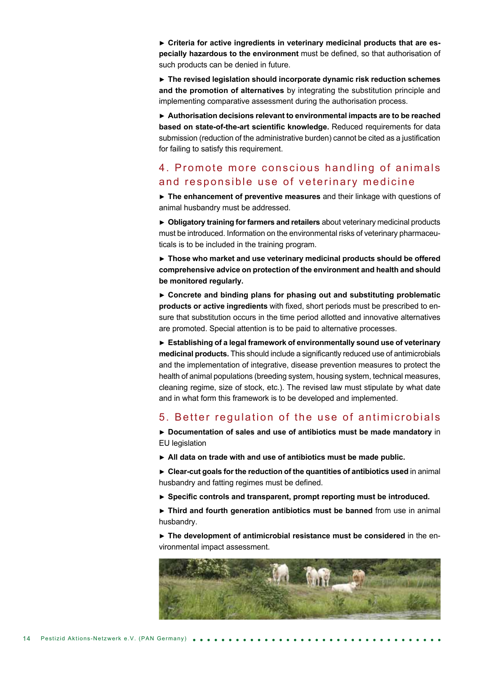► **Criteria for active ingredients in veterinary medicinal products that are especially hazardous to the environment** must be defined, so that authorisation of such products can be denied in future.

► **The revised legislation should incorporate dynamic risk reduction schemes and the promotion of alternatives** by integrating the substitution principle and implementing comparative assessment during the authorisation process.

► **Authorisation decisions relevant to environmental impacts are to be reached based on state-of-the-art scientific knowledge.** Reduced requirements for data submission (reduction of the administrative burden) cannot be cited as a justification for failing to satisfy this requirement.

#### 4. Promote more conscious handling of animals and responsible use of veterinary medicine

► **The enhancement of preventive measures** and their linkage with questions of animal husbandry must be addressed.

► **Obligatory training for farmers and retailers** about veterinary medicinal products must be introduced. Information on the environmental risks of veterinary pharmaceuticals is to be included in the training program.

► **Those who market and use veterinary medicinal products should be offered comprehensive advice on protection of the environment and health and should be monitored regularly.**

► **Concrete and binding plans for phasing out and substituting problematic products or active ingredients** with fixed, short periods must be prescribed to ensure that substitution occurs in the time period allotted and innovative alternatives are promoted. Special attention is to be paid to alternative processes.

► **Establishing of a legal framework of environmentally sound use of veterinary medicinal products.** This should include a significantly reduced use of antimicrobials and the implementation of integrative, disease prevention measures to protect the health of animal populations (breeding system, housing system, technical measures, cleaning regime, size of stock, etc.). The revised law must stipulate by what date and in what form this framework is to be developed and implemented.

#### 5. Better regulation of the use of antimicrobials

► **Documentation of sales and use of antibiotics must be made mandatory** in EU legislation

► **All data on trade with and use of antibiotics must be made public.**

► **Clear-cut goals for the reduction of the quantities of antibiotics used** in animal husbandry and fatting regimes must be defined.

► **Specific controls and transparent, prompt reporting must be introduced.**

► **Third and fourth generation antibiotics must be banned** from use in animal husbandry.

► **The development of antimicrobial resistance must be considered** in the environmental impact assessment.

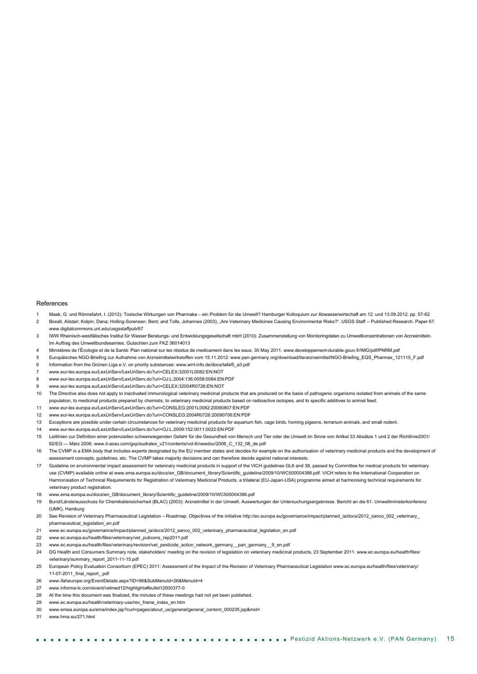#### References

- 1 Maak, G. und Rönnefahrt, I. (2012): Toxische Wirkungen von Pharmaka ein Problem für die Umwelt? Hamburger Kolloquium zur Abwasserwirtschaft am 12. und 13.09.2012. pp. 57-62
- 2 Boxall, Alistair; Kolpin, Dana; Holling-Sorensen, Bent; and Tolls, Johannes (2003), "Are Veterinary Medicines Causing Environmental Risks?". USGS Staff -- Published Research. Paper 67. www.digitalcommons.unl.edu/usgsstaffpub/67
- 3 IWW Rheinisch-westfälisches Institut für Wasser Beratungs- und Entwicklungsgesellschaft mbH (2010): Zusammenstellung von Monitoringdaten zu Umweltkonzentrationen von Arzneimitteln. Im Auftrag des Umweltbundesamtes. Gutachten zum FKZ 36014013
- Ministères de l'Écologie et de la Santé: Plan national sur les résidus de medicament dans les eaux, 30 May 2011. www.developpement-durable.gouv.fr/IMG/pdf/PNRM.pdf
- 5 Europäisches NGO-Briefing zur Aufnahme von Arzneimittelwirkstoffen vom 15.11.2012: www.pan-germany.org/download/tierarzneimittel/NGO-Briefing\_EQS\_Pharmas\_121115\_F.pdf
- 6 Information from the Grünen Liga e.V. on priority substances: www.wrrl-info.de/docs/tafel5\_a3.pdf
- 7 www.eur-lex.europa.eu/LexUriServ/LexUriServ.do?uri=CELEX:32001L0082:EN:NOT
- 8 www.eur-lex.europa.eu/LexUriServ/LexUriServ.do?uri=OJ:L:2004:136:0058:0084:EN:PDF
- 9 www.eur-lex.europa.eu/LexUriServ/LexUriServ.do?uri=CELEX:32004R0726:EN:NOT
- 10 The Directive also does not apply to inactivated immunological veterinary medicinal products that are produced on the basis of pathogenic organisms isolated from animals of the same population, to medicinal products prepared by chemists, to veterinary medicinal products based on radioactive isotopes, and to specific additives to animal feed.
- 11 www.eur-lex.europa.eu/LexUriServ/LexUriServ.do?uri=CONSLEG:2001L0082:20090807:EN:PDF
- 12 www.eur-lex.europa.eu/LexUriServ/LexUriServ.do?uri=CONSLEG:2004R0726:20090706:EN:PDF 13 Exceptions are possible under certain circumstances for veterinary medicinal products for aquarium fish, cage birds, homing pigeons, terrarium animals, and small rodent.
- 14 www.eur-lex.europa.eu/LexUriServ/LexUriServ.do?uri=OJ:L:2009:152:0011:0022:EN:PDF
- 15 Leitlinien zur Definition einer potenziellen schwerwiegenden Gefahr für die Gesundheit von Mensch und Tier oder die Umwelt im Sinne von Artikel 33 Absätze 1 und 2 der Richtlinie2001/ 82/EG — März 2006. www.it-asso.com/gxp/eudralex\_v21/contents/vol-6/newdoc/2006\_C\_132\_08\_de.pdf
- 16 The CVMP is a EMA body that includes experts designated by the EU member states and decides for example on the authorisation of veterinary medicinal products and the development of assessment concepts, guidelines, etc. The CVMP takes majority decisions and can therefore decide against national interests.
- 17 Guideline on environmental impact assessment for veterinary medicinal products in support of the VICH guidelines GL6 and 38, passed by Committee for medical products for veterinary use (CVMP) available online at www.ema.europa.eu/docs/en\_GB/document\_library/Scientific\_guideline/2009/10/WC500004386.pdf. VICH refers to the International Cooperation on Harmonisation of Technical Requirements for Registration of Veterinary Medicinal Products, a trilateral (EU-Japan-USA) programme aimed at harmonising technical requirements for veterinary product registration.
- 18 www.ema.europa.eu/docs/en\_GB/document\_library/Scientific\_guideline/2009/10/WC500004386.pdf
- 19 Bund/Länderausschuss für Chemikaliensicherheit (BLAC) (2003): Arzneimittel in der Umwelt. Auswertungen der Untersuchungsergebnisse. Bericht an die 61. Umweltministerkonferenz (UMK), Hamburg
- 20 See Revision of Veterinary Pharmaceutical Legislation Roadmap. Objectives of the initiative http://ec.europa.eu/governance/impact/planned\_ia/docs/2012\_sanco\_002\_veterinary\_ pharmaceutical\_legislation\_en.pdf
- 21 www.ec.europa.eu/governance/impact/planned\_ia/docs/2012\_sanco\_002\_veterinary\_pharmaceutical\_legislation\_en.pdf
- 22 www.ec.europa.eu/health/files/veterinary/vet\_pubcons\_rep2011.pdf
- 23 www.ec.europa.eu/health/files/veterinary/revision/vet\_pesticide\_action\_network\_germany\_\_pan\_germany\_\_9\_en.pdf
- 24 DG Health and Consumers Summary note, stakeholders' meeting on the revision of legislation on veterinary medicinal products, 23 September 2011. www.ec.europa.eu/health/files/ veterinary/summary\_report\_2011-11-15.pdf
- 25 European Policy Evaluation Consortium (EPEC) 2011: Assessment of the Impact of the Revision of Veterinary Pharmaceutical Legislation www.ec.europa.eu/health/files/veterinary/ 11-07-2011\_final\_report\_.pdf
- 26 www.ifaheurope.org/EventDetails.aspx?ID=96&SubMenuId=26&MenuId=4
- 27 www.informa-ls.com/event/vetmed12/highlights#bullet12000377-0
- 28 At the time this document was finalized, the minutes of these meetings had not yet been published.
- 29 www.ec.europa.eu/health/veterinary-use/rev\_frame\_index\_en.htm
- 30 www.emea.europa.eu/ema/index.jsp?curl=pages/about\_us/general/general\_content\_000235.jsp&mid=
- 31 www.hma.eu/271.html